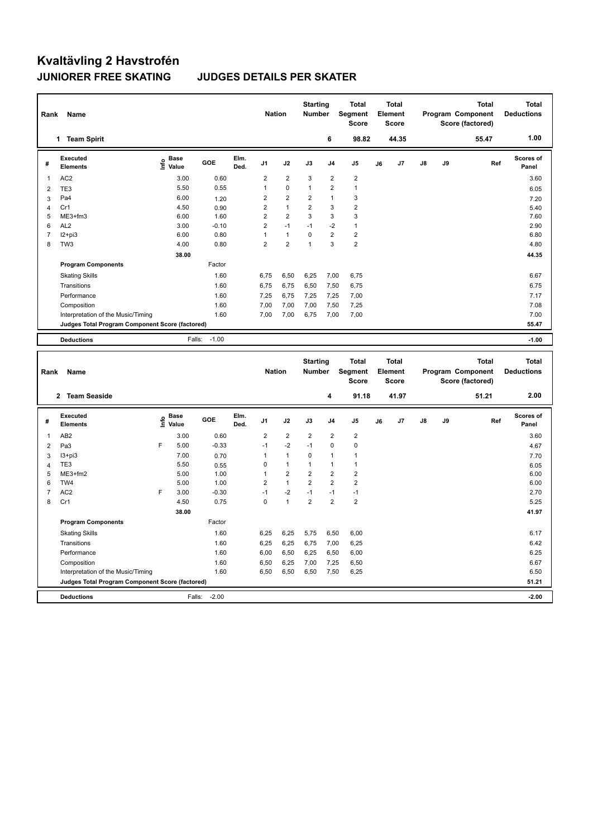# **Kvaltävling 2 Havstrofén JUNIORER FREE SKATING JUDGES DETAILS PER SKATER**

| Rank                | Name                                            |                                           |                   |              | <b>Nation</b>  |                         | <b>Starting</b><br>Number        |                               | Total<br>Segment<br><b>Score</b>        |    | <b>Total</b><br>Element<br><b>Score</b> |    |    | <b>Total</b><br>Program Component<br>Score (factored) | <b>Total</b><br><b>Deductions</b> |
|---------------------|-------------------------------------------------|-------------------------------------------|-------------------|--------------|----------------|-------------------------|----------------------------------|-------------------------------|-----------------------------------------|----|-----------------------------------------|----|----|-------------------------------------------------------|-----------------------------------|
|                     | 1 Team Spirit                                   |                                           |                   |              |                |                         |                                  | 6                             | 98.82                                   |    | 44.35                                   |    |    | 55.47                                                 | 1.00                              |
| #                   | <b>Executed</b><br><b>Elements</b>              | $\frac{e}{E}$ Base<br>$\frac{E}{E}$ Value | GOE               | Elm.<br>Ded. | J <sub>1</sub> | J2                      | J3                               | J4                            | J <sub>5</sub>                          | J6 | J7                                      | J8 | J9 | Ref                                                   | Scores of<br>Panel                |
| 1                   | AC <sub>2</sub>                                 | 3.00                                      | 0.60              |              | $\overline{2}$ | $\boldsymbol{2}$        | 3                                | $\overline{c}$                | $\boldsymbol{2}$                        |    |                                         |    |    |                                                       | 3.60                              |
| $\overline{2}$      | TE3                                             | 5.50                                      | 0.55              |              | $\mathbf{1}$   | $\mathbf 0$             | $\overline{1}$                   | $\overline{2}$                | $\mathbf{1}$                            |    |                                         |    |    |                                                       | 6.05                              |
| 3                   | Pa4                                             | 6.00                                      | 1.20              |              | $\overline{2}$ | $\overline{\mathbf{c}}$ | 2                                | $\mathbf{1}$                  | $\mathsf 3$                             |    |                                         |    |    |                                                       | 7.20                              |
| 4                   | Cr1                                             | 4.50                                      | 0.90              |              | $\overline{2}$ | $\mathbf{1}$            | $\overline{2}$                   | 3                             | $\overline{2}$                          |    |                                         |    |    |                                                       | 5.40                              |
| 5                   | ME3+fm3                                         | 6.00                                      | 1.60              |              | $\overline{2}$ | $\overline{\mathbf{c}}$ | 3                                | $\mathbf{3}$                  | 3                                       |    |                                         |    |    |                                                       | 7.60                              |
| 6                   | AL <sub>2</sub>                                 | 3.00                                      | $-0.10$           |              | $\overline{2}$ | $-1$                    | $-1$                             | $-2$                          | $\mathbf{1}$                            |    |                                         |    |    |                                                       | 2.90                              |
| $\overline{7}$      | $12+pi3$                                        | 6.00                                      | 0.80              |              | $\mathbf{1}$   | $\mathbf{1}$            | $\mathbf 0$                      | $\overline{2}$                | $\overline{2}$                          |    |                                         |    |    |                                                       | 6.80                              |
| 8                   | TW <sub>3</sub>                                 | 4.00                                      | 0.80              |              | $\overline{2}$ | $\overline{2}$          | $\mathbf{1}$                     | $\overline{3}$                | $\overline{2}$                          |    |                                         |    |    |                                                       | 4.80                              |
|                     |                                                 | 38.00                                     |                   |              |                |                         |                                  |                               |                                         |    |                                         |    |    |                                                       | 44.35                             |
|                     | <b>Program Components</b>                       |                                           | Factor            |              |                |                         |                                  |                               |                                         |    |                                         |    |    |                                                       |                                   |
|                     | <b>Skating Skills</b>                           |                                           | 1.60              |              | 6,75           | 6,50                    | 6,25                             | 7,00                          | 6,75                                    |    |                                         |    |    |                                                       | 6.67                              |
|                     | Transitions                                     |                                           | 1.60              |              | 6,75           | 6,75                    | 6,50                             | 7,50                          | 6,75                                    |    |                                         |    |    |                                                       | 6.75                              |
|                     | Performance                                     |                                           | 1.60              |              | 7,25           | 6,75                    | 7,25                             | 7,25                          | 7,00                                    |    |                                         |    |    |                                                       | 7.17                              |
|                     | Composition                                     |                                           | 1.60              |              | 7,00           | 7,00                    | 7,00                             | 7,50                          | 7,25                                    |    |                                         |    |    |                                                       | 7.08                              |
|                     | Interpretation of the Music/Timing              |                                           | 1.60              |              | 7,00           | 7,00                    | 6,75                             | 7,00                          | 7,00                                    |    |                                         |    |    |                                                       | 7.00                              |
|                     | Judges Total Program Component Score (factored) |                                           |                   |              |                |                         |                                  |                               |                                         |    |                                         |    |    |                                                       | 55.47                             |
|                     | <b>Deductions</b>                               |                                           | $-1.00$<br>Falls: |              |                |                         |                                  |                               |                                         |    |                                         |    |    |                                                       | $-1.00$                           |
|                     |                                                 |                                           |                   |              |                |                         |                                  |                               |                                         |    |                                         |    |    |                                                       |                                   |
|                     |                                                 |                                           |                   |              |                |                         |                                  |                               |                                         |    |                                         |    |    |                                                       |                                   |
| Rank                | Name                                            |                                           |                   |              | <b>Nation</b>  |                         | <b>Starting</b><br><b>Number</b> |                               | <b>Total</b><br>Segment<br><b>Score</b> |    | <b>Total</b><br>Element<br><b>Score</b> |    |    | <b>Total</b><br>Program Component<br>Score (factored) | <b>Total</b><br><b>Deductions</b> |
|                     | 2 Team Seaside                                  |                                           |                   |              |                |                         |                                  | 4                             | 91.18                                   |    | 41.97                                   |    |    | 51.21                                                 | 2.00                              |
| #                   | <b>Executed</b><br><b>Elements</b>              | Base                                      | GOE               | Elm.<br>Ded. | J1             | J2                      | J3                               | J <sub>4</sub>                | J5                                      | J6 | J7                                      | J8 | J9 | Ref                                                   | <b>Scores of</b><br>Panel         |
|                     |                                                 | e Base<br>E Value                         |                   |              |                |                         |                                  |                               |                                         |    |                                         |    |    |                                                       |                                   |
| 1                   | AB <sub>2</sub>                                 | 3.00                                      | 0.60              |              | 2<br>$-1$      | $\overline{2}$          | 2<br>$-1$                        | $\overline{2}$<br>$\mathbf 0$ | $\overline{2}$<br>$\mathbf 0$           |    |                                         |    |    |                                                       | 3.60                              |
| $\overline{2}$      | Pa <sub>3</sub>                                 | F<br>5.00                                 | $-0.33$           |              | $\mathbf{1}$   | $-2$<br>$\mathbf{1}$    | 0                                | $\overline{1}$                | $\mathbf{1}$                            |    |                                         |    |    |                                                       | 4.67                              |
| 3                   | $13 + pi3$<br>TE3                               | 7.00<br>5.50                              | 0.70              |              | 0              | $\mathbf{1}$            | 1                                | $\mathbf{1}$                  | $\mathbf{1}$                            |    |                                         |    |    |                                                       | 7.70                              |
| $\overline{4}$<br>5 | $ME3+fm2$                                       | 5.00                                      | 0.55<br>1.00      |              | $\mathbf{1}$   | $\overline{2}$          | $\overline{2}$                   | $\overline{2}$                | $\overline{2}$                          |    |                                         |    |    |                                                       | 6.05<br>6.00                      |
| 6                   | TW <sub>4</sub>                                 | 5.00                                      | 1.00              |              | $\overline{2}$ | $\mathbf{1}$            | 2                                | $\mathbf 2$                   | $\mathbf 2$                             |    |                                         |    |    |                                                       | 6.00                              |
| $\overline{7}$      | AC <sub>2</sub>                                 | F<br>3.00                                 | $-0.30$           |              | $-1$           | $-2$                    | $-1$                             | $-1$                          | $-1$                                    |    |                                         |    |    |                                                       | 2.70                              |
| 8                   | Cr1                                             | 4.50                                      | 0.75              |              | 0              | 1                       | $\overline{2}$                   | $\overline{2}$                | $\overline{2}$                          |    |                                         |    |    |                                                       | 5.25                              |
|                     |                                                 | 38.00                                     |                   |              |                |                         |                                  |                               |                                         |    |                                         |    |    |                                                       | 41.97                             |
|                     | <b>Program Components</b>                       |                                           | Factor            |              |                |                         |                                  |                               |                                         |    |                                         |    |    |                                                       |                                   |
|                     | <b>Skating Skills</b>                           |                                           | 1.60              |              | 6,25           | 6,25                    | 5,75                             | 6,50                          | 6,00                                    |    |                                         |    |    |                                                       | 6.17                              |
|                     |                                                 |                                           |                   |              |                |                         |                                  |                               |                                         |    |                                         |    |    |                                                       | 6.42                              |
|                     | Transitions                                     |                                           | 1.60              |              | 6,25           | 6,25                    | 6,75                             | 7,00                          | 6,25                                    |    |                                         |    |    |                                                       |                                   |
|                     | Performance<br>Composition                      |                                           | 1.60<br>1.60      |              | 6,00<br>6,50   | 6,50                    | 6,25                             | 6,50                          | 6,00                                    |    |                                         |    |    |                                                       | 6.25<br>6.67                      |
|                     | Interpretation of the Music/Timing              |                                           | 1.60              |              | 6,50           | 6,25<br>6,50            | 7,00<br>6,50                     | 7,25<br>7,50                  | 6,50<br>6,25                            |    |                                         |    |    |                                                       | 6.50                              |
|                     | Judges Total Program Component Score (factored) |                                           |                   |              |                |                         |                                  |                               |                                         |    |                                         |    |    |                                                       | 51.21                             |
|                     | <b>Deductions</b>                               |                                           | $-2.00$<br>Falls: |              |                |                         |                                  |                               |                                         |    |                                         |    |    |                                                       | $-2.00$                           |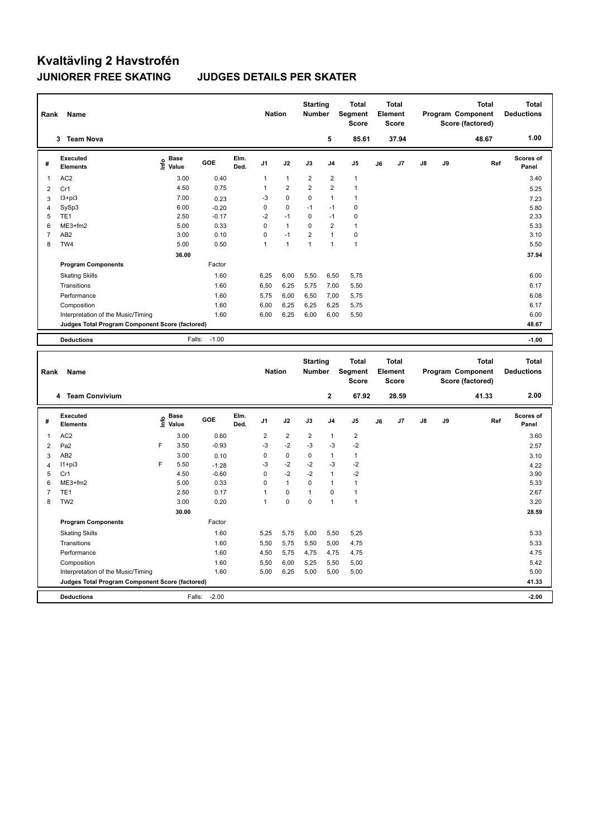# **Kvaltävling 2 Havstrofén JUNIORER FREE SKATING JUDGES DETAILS PER SKATER**

| Rank                    | Name                                            |                                           |                   |              | <b>Nation</b>  |                | <b>Starting</b><br>Number |                | Total<br>Segment<br><b>Score</b>        |    | <b>Total</b><br>Element<br>Score        |    |    | <b>Total</b><br>Program Component<br>Score (factored) | <b>Total</b><br><b>Deductions</b> |
|-------------------------|-------------------------------------------------|-------------------------------------------|-------------------|--------------|----------------|----------------|---------------------------|----------------|-----------------------------------------|----|-----------------------------------------|----|----|-------------------------------------------------------|-----------------------------------|
|                         | 3 Team Nova                                     |                                           |                   |              |                |                |                           | 5              | 85.61                                   |    | 37.94                                   |    |    | 48.67                                                 | 1.00                              |
| #                       | <b>Executed</b><br>Elements                     | $\frac{e}{E}$ Base<br>$\frac{E}{E}$ Value | GOE               | Elm.<br>Ded. | J <sub>1</sub> | J2             | J3                        | J <sub>4</sub> | J <sub>5</sub>                          | J6 | J7                                      | J8 | J9 | Ref                                                   | Scores of<br>Panel                |
| 1                       | AC <sub>2</sub>                                 | 3.00                                      | 0.40              |              | 1              | $\mathbf{1}$   | $\overline{2}$            | $\overline{2}$ | $\mathbf{1}$                            |    |                                         |    |    |                                                       | 3.40                              |
| $\overline{\mathbf{c}}$ | Cr1                                             | 4.50                                      | 0.75              |              | 1              | 2              | $\overline{2}$            | $\overline{2}$ | $\mathbf{1}$                            |    |                                         |    |    |                                                       | 5.25                              |
| 3                       | $13 + pi3$                                      | 7.00                                      | 0.23              |              | -3             | $\pmb{0}$      | 0                         | $\mathbf{1}$   | $\mathbf{1}$                            |    |                                         |    |    |                                                       | 7.23                              |
| 4                       | SySp3                                           | 6.00                                      | $-0.20$           |              | 0              | 0              | $-1$                      | $-1$           | $\mathbf 0$                             |    |                                         |    |    |                                                       | 5.80                              |
| 5                       | TE <sub>1</sub>                                 | 2.50                                      | $-0.17$           |              | $-2$           | $-1$           | 0                         | $-1$           | $\mathbf 0$                             |    |                                         |    |    |                                                       | 2.33                              |
| 6                       | ME3+fm2                                         | 5.00                                      | 0.33              |              | 0              | $\mathbf{1}$   | 0                         | $\overline{2}$ | $\mathbf{1}$                            |    |                                         |    |    |                                                       | 5.33                              |
| $\overline{7}$          | AB <sub>2</sub>                                 | 3.00                                      | 0.10              |              | 0              | $-1$           | $\overline{2}$            | $\mathbf{1}$   | $\mathbf 0$                             |    |                                         |    |    |                                                       | 3.10                              |
| 8                       | TW4                                             | 5.00                                      | 0.50              |              | 1              | $\mathbf{1}$   | 1                         | $\overline{1}$ | $\mathbf{1}$                            |    |                                         |    |    |                                                       | 5.50                              |
|                         |                                                 | 36.00                                     |                   |              |                |                |                           |                |                                         |    |                                         |    |    |                                                       | 37.94                             |
|                         | <b>Program Components</b>                       |                                           | Factor            |              |                |                |                           |                |                                         |    |                                         |    |    |                                                       |                                   |
|                         | <b>Skating Skills</b>                           |                                           | 1.60              |              | 6,25           | 6,00           | 5,50                      | 6,50           | 5,75                                    |    |                                         |    |    |                                                       | 6.00                              |
|                         | Transitions                                     |                                           | 1.60              |              | 6,50           | 6,25           | 5,75                      | 7,00           | 5,50                                    |    |                                         |    |    |                                                       | 6.17                              |
|                         | Performance                                     |                                           | 1.60              |              | 5,75           | 6,00           | 6,50                      | 7,00           | 5,75                                    |    |                                         |    |    |                                                       | 6.08                              |
|                         | Composition                                     |                                           | 1.60              |              | 6,00           | 6,25           | 6,25                      | 6,25           | 5,75                                    |    |                                         |    |    |                                                       | 6.17                              |
|                         | Interpretation of the Music/Timing              |                                           | 1.60              |              | 6,00           | 6,25           | 6,00                      | 6,00           | 5,50                                    |    |                                         |    |    |                                                       | 6.00                              |
|                         | Judges Total Program Component Score (factored) |                                           |                   |              |                |                |                           |                |                                         |    |                                         |    |    |                                                       | 48.67                             |
|                         | <b>Deductions</b>                               |                                           | $-1.00$<br>Falls: |              |                |                |                           |                |                                         |    |                                         |    |    |                                                       | $-1.00$                           |
|                         |                                                 |                                           |                   |              |                |                |                           |                |                                         |    |                                         |    |    |                                                       |                                   |
| Rank                    | Name                                            |                                           |                   |              | <b>Nation</b>  |                | <b>Starting</b><br>Number |                | <b>Total</b><br><b>Segment</b><br>Score |    | <b>Total</b><br>Element<br><b>Score</b> |    |    | <b>Total</b><br>Program Component<br>Score (factored) | <b>Total</b><br><b>Deductions</b> |
|                         | 4 Team Convivium                                |                                           |                   |              |                |                |                           | $\mathbf 2$    | 67.92                                   |    | 28.59                                   |    |    | 41.33                                                 | 2.00                              |
| #                       | <b>Executed</b><br><b>Elements</b>              | Base<br>e Base<br>⊆ Value                 | GOE               | Elm.<br>Ded. | J1             | J2             | J3                        | J <sub>4</sub> | J <sub>5</sub>                          | J6 | J7                                      | J8 | J9 | Ref                                                   | <b>Scores of</b><br>Panel         |
| 1                       | AC <sub>2</sub>                                 | 3.00                                      | 0.60              |              | $\overline{2}$ | $\overline{2}$ | $\overline{2}$            | $\mathbf{1}$   | $\overline{2}$                          |    |                                         |    |    |                                                       | 3.60                              |
| $\overline{2}$          | Pa <sub>2</sub>                                 | 3.50<br>F                                 | $-0.93$           |              | $-3$           | $-2$           | $-3$                      | $-3$           | $-2$                                    |    |                                         |    |    |                                                       | 2.57                              |
| 3                       | AB <sub>2</sub>                                 | 3.00                                      | 0.10              |              | 0              | $\mathbf 0$    | 0                         | $\mathbf{1}$   | $\mathbf{1}$                            |    |                                         |    |    |                                                       | 3.10                              |
| $\overline{4}$          | $11+pi3$                                        | F<br>5.50                                 | $-1.28$           |              | -3             | $-2$           | $-2$                      | $-3$           | $-2$                                    |    |                                         |    |    |                                                       | 4.22                              |
| 5                       | Cr1                                             | 4.50                                      | $-0.60$           |              | 0              | $-2$           | $-2$                      | $\mathbf{1}$   | $-2$                                    |    |                                         |    |    |                                                       | 3.90                              |
| 6                       | ME3+fm2                                         | 5.00                                      | 0.33              |              | 0              | $\mathbf{1}$   | $\mathbf 0$               | $\mathbf{1}$   | $\mathbf{1}$                            |    |                                         |    |    |                                                       | 5.33                              |
| $\overline{7}$          | TE <sub>1</sub>                                 | 2.50                                      | 0.17              |              | 1              | $\pmb{0}$      | $\mathbf{1}$              | $\mathbf 0$    | $\mathbf{1}$                            |    |                                         |    |    |                                                       | 2.67                              |
| 8                       | TW <sub>2</sub>                                 | 3.00                                      | 0.20              |              | $\mathbf{1}$   | $\mathbf 0$    | $\mathbf 0$               | $\mathbf{1}$   | $\mathbf{1}$                            |    |                                         |    |    |                                                       | 3.20                              |
|                         |                                                 | 30.00                                     |                   |              |                |                |                           |                |                                         |    |                                         |    |    |                                                       | 28.59                             |
|                         | <b>Program Components</b>                       |                                           | Factor            |              |                |                |                           |                |                                         |    |                                         |    |    |                                                       |                                   |
|                         | <b>Skating Skills</b>                           |                                           | 1.60              |              | 5,25           | 5,75           | 5,00                      | 5,50           | 5,25                                    |    |                                         |    |    |                                                       | 5.33                              |
|                         | Transitions                                     |                                           | 1.60              |              | 5,50           | 5,75           | 5,50                      | 5,00           | 4,75                                    |    |                                         |    |    |                                                       | 5.33                              |
|                         | Performance                                     |                                           | 1.60              |              | 4,50           | 5,75           | 4,75                      | 4,75           | 4,75                                    |    |                                         |    |    |                                                       | 4.75                              |
|                         | Composition                                     |                                           | 1.60              |              | 5,50           | 6,00           | 5,25                      | 5,50           | 5,00                                    |    |                                         |    |    |                                                       | 5.42                              |
|                         | Interpretation of the Music/Timing              |                                           | 1.60              |              | 5,00           | 6,25           | 5,00                      | 5,00           | 5,00                                    |    |                                         |    |    |                                                       | 5.00                              |
|                         | Judges Total Program Component Score (factored) |                                           |                   |              |                |                |                           |                |                                         |    |                                         |    |    |                                                       | 41.33                             |